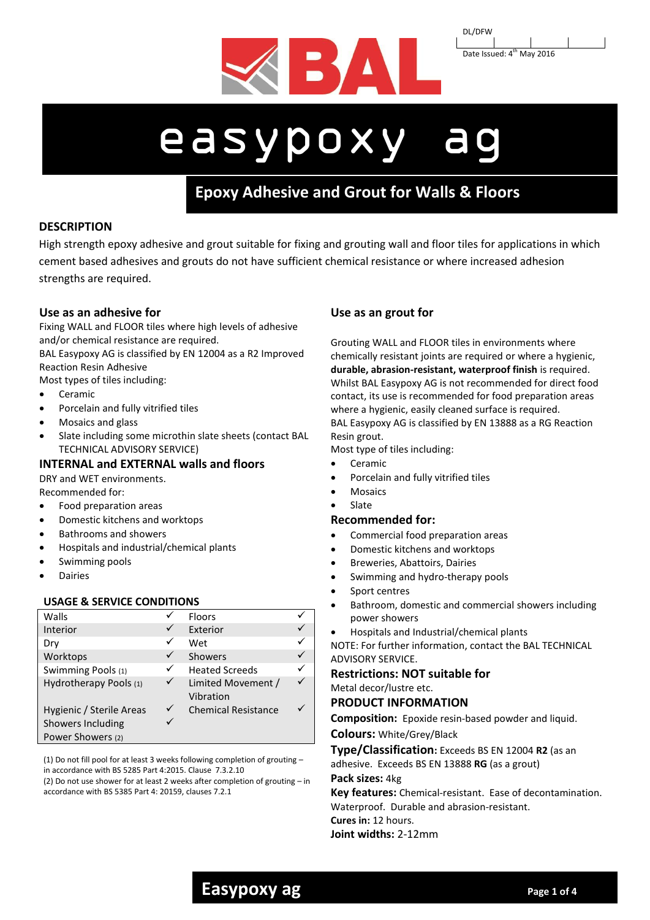

DL/DFW Date Issued: 4<sup>th</sup> May 2016

# easypoxy ag

# **Epoxy Adhesive and Grout for Walls & Floors**

**cementitious wall & floor tile adhesive with FST**

# **DESCRIPTION**

High strength epoxy adhesive and grout suitable for fixing and grouting wall and floor tiles for applications in which cement based adhesives and grouts do not have sufficient chemical resistance or where increased adhesion strengths are required.

# **Use as an adhesive for**

Fixing WALL and FLOOR tiles where high levels of adhesive and/or chemical resistance are required.

BAL Easypoxy AG is classified by EN 12004 as a R2 Improved Reaction Resin Adhesive

Most types of tiles including:

- Ceramic
- Porcelain and fully vitrified tiles
- Mosaics and glass
- Slate including some microthin slate sheets (contact BAL TECHNICAL ADVISORY SERVICE)

# **INTERNAL and EXTERNAL walls and floors**

DRY and WET environments.

- Recommended for:
- Food preparation areas
- Domestic kitchens and worktops
- Bathrooms and showers
- Hospitals and industrial/chemical plants
- Swimming pools
- Dairies

#### **USAGE & SERVICE CONDITIONS**

| Walls                    |   | <b>Floors</b>                   |  |
|--------------------------|---|---------------------------------|--|
| Interior                 |   | Exterior                        |  |
| Dry                      |   | Wet                             |  |
| Worktops                 | ✓ | <b>Showers</b>                  |  |
| Swimming Pools (1)       | ✓ | <b>Heated Screeds</b>           |  |
| Hydrotherapy Pools (1)   | ✓ | Limited Movement /<br>Vibration |  |
| Hygienic / Sterile Areas | ✓ | <b>Chemical Resistance</b>      |  |
| Showers Including        |   |                                 |  |
| Power Showers (2)        |   |                                 |  |

(1) Do not fill pool for at least 3 weeks following completion of grouting – in accordance with BS 5285 Part 4:2015. Clause 7.3.2.10 (2) Do not use shower for at least 2 weeks after completion of grouting – in accordance with BS 5385 Part 4: 20159, clauses 7.2.1

# **Use as an grout for**

Grouting WALL and FLOOR tiles in environments where chemically resistant joints are required or where a hygienic, **durable, abrasion-resistant, waterproof finish** is required. Whilst BAL Easypoxy AG is not recommended for direct food contact, its use is recommended for food preparation areas where a hygienic, easily cleaned surface is required. BAL Easypoxy AG is classified by EN 13888 as a RG Reaction Resin grout.

Most type of tiles including:

- Ceramic
- Porcelain and fully vitrified tiles
- Mosaics
- Slate

### **Recommended for:**

- Commercial food preparation areas
- Domestic kitchens and worktops
- Breweries, Abattoirs, Dairies
- Swimming and hydro-therapy pools
- Sport centres
- Bathroom, domestic and commercial showers including power showers
- Hospitals and Industrial/chemical plants

NOTE: For further information, contact the BAL TECHNICAL ADVISORY SERVICE.

#### **Restrictions: NOT suitable for** Metal decor/lustre etc.

#### **PRODUCT INFORMATION**

**Composition:** Epoxide resin-based powder and liquid.

**Colours:** White/Grey/Black

**Type/Classification:** Exceeds BS EN 12004 **R2** (as an adhesive. Exceeds BS EN 13888 **RG** (as a grout)

#### **Pack sizes:** 4kg

**Key features:** Chemical-resistant. Ease of decontamination. Waterproof. Durable and abrasion-resistant.

**Cures in:** 12 hours.

**Joint widths:** 2-12mm

# **Easypoxy ag Page 1 of 4 Page 1 of 4**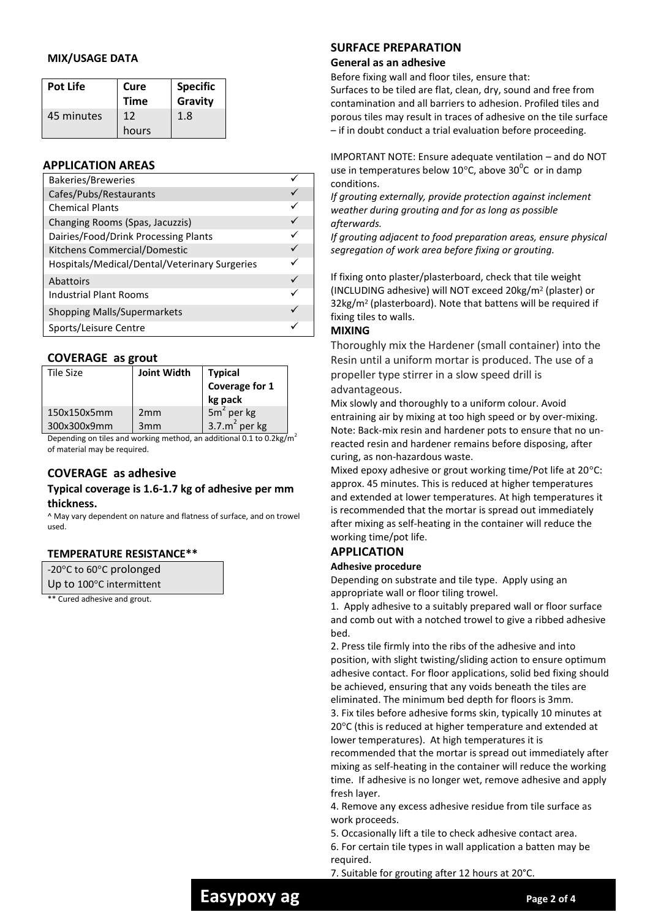## **MIX/USAGE DATA**

| Pot Life   | Cure<br><b>Time</b> | <b>Specific</b><br>Gravity |
|------------|---------------------|----------------------------|
| 45 minutes | 12<br>hours         | 1.8                        |

# **APPLICATION AREAS**

| <b>Bakeries/Breweries</b>                     |  |
|-----------------------------------------------|--|
| Cafes/Pubs/Restaurants                        |  |
| <b>Chemical Plants</b>                        |  |
| Changing Rooms (Spas, Jacuzzis)               |  |
| Dairies/Food/Drink Processing Plants          |  |
| Kitchens Commercial/Domestic                  |  |
| Hospitals/Medical/Dental/Veterinary Surgeries |  |
| Abattoirs                                     |  |
| <b>Industrial Plant Rooms</b>                 |  |
| <b>Shopping Malls/Supermarkets</b>            |  |
| Sports/Leisure Centre                         |  |

# **COVERAGE as grout**

| Tile Size   | <b>Joint Width</b> | <b>Typical</b><br>Coverage for 1<br>kg pack |
|-------------|--------------------|---------------------------------------------|
| 150x150x5mm | 2 <sub>mm</sub>    | $5m2$ per kg                                |
| 300x300x9mm | 3mm                | 3.7. $m^2$ per kg                           |

Depending on tiles and working method, an additional 0.1 to  $0.2 \text{kg/m}^2$ of material may be required.

# **COVERAGE as adhesive**

#### **Typical coverage is 1.6-1.7 kg of adhesive per mm thickness.**

^ May vary dependent on nature and flatness of surface, and on trowel used.

#### **TEMPERATURE RESISTANCE\*\***

| -20°C to 60°C prolonged  |  |  |
|--------------------------|--|--|
| Up to 100°C intermittent |  |  |

\*\* Cured adhesive and grout.

# **SURFACE PREPARATION**

#### **General as an adhesive**

Before fixing wall and floor tiles, ensure that:

Surfaces to be tiled are flat, clean, dry, sound and free from contamination and all barriers to adhesion. Profiled tiles and porous tiles may result in traces of adhesive on the tile surface – if in doubt conduct a trial evaluation before proceeding.

IMPORTANT NOTE: Ensure adequate ventilation – and do NOT use in temperatures below 10 $\degree$ C, above 30 $\degree$ C or in damp conditions.

*If grouting externally, provide protection against inclement weather during grouting and for as long as possible afterwards.*

*If grouting adjacent to food preparation areas, ensure physical segregation of work area before fixing or grouting.*

If fixing onto plaster/plasterboard, check that tile weight (INCLUDING adhesive) will NOT exceed 20kg/m² (plaster) or 32kg/m² (plasterboard). Note that battens will be required if fixing tiles to walls.

## **MIXING**

Thoroughly mix the Hardener (small container) into the Resin until a uniform mortar is produced. The use of a propeller type stirrer in a slow speed drill is advantageous.

Mix slowly and thoroughly to a uniform colour. Avoid entraining air by mixing at too high speed or by over-mixing. Note: Back-mix resin and hardener pots to ensure that no unreacted resin and hardener remains before disposing, after curing, as non-hazardous waste.

Mixed epoxy adhesive or grout working time/Pot life at 20°C: approx. 45 minutes. This is reduced at higher temperatures and extended at lower temperatures. At high temperatures it is recommended that the mortar is spread out immediately after mixing as self-heating in the container will reduce the working time/pot life.

# **APPLICATION**

#### **Adhesive procedure**

Depending on substrate and tile type. Apply using an appropriate wall or floor tiling trowel.

1. Apply adhesive to a suitably prepared wall or floor surface and comb out with a notched trowel to give a ribbed adhesive bed.

2. Press tile firmly into the ribs of the adhesive and into position, with slight twisting/sliding action to ensure optimum adhesive contact. For floor applications, solid bed fixing should be achieved, ensuring that any voids beneath the tiles are eliminated. The minimum bed depth for floors is 3mm.

3. Fix tiles before adhesive forms skin, typically 10 minutes at 20°C (this is reduced at higher temperature and extended at lower temperatures). At high temperatures it is

recommended that the mortar is spread out immediately after mixing as self-heating in the container will reduce the working time. If adhesive is no longer wet, remove adhesive and apply fresh layer.

4. Remove any excess adhesive residue from tile surface as work proceeds.

5. Occasionally lift a tile to check adhesive contact area.

6. For certain tile types in wall application a batten may be required.

7. Suitable for grouting after 12 hours at 20°C.

# **Easypoxy ag Page 2 of 4 Page 2 of 4**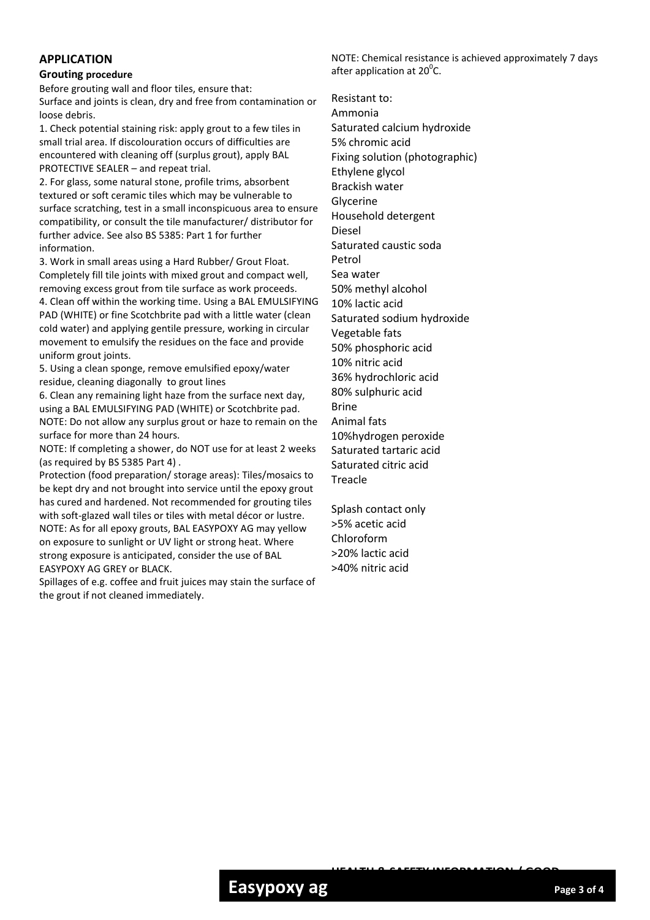# **APPLICATION**

#### **Grouting procedure**

Before grouting wall and floor tiles, ensure that: Surface and joints is clean, dry and free from contamination or loose debris.

1. Check potential staining risk: apply grout to a few tiles in small trial area. If discolouration occurs of difficulties are encountered with cleaning off (surplus grout), apply BAL PROTECTIVE SEALER – and repeat trial.

2. For glass, some natural stone, profile trims, absorbent textured or soft ceramic tiles which may be vulnerable to surface scratching, test in a small inconspicuous area to ensure compatibility, or consult the tile manufacturer/ distributor for further advice. See also BS 5385: Part 1 for further information.

3. Work in small areas using a Hard Rubber/ Grout Float. Completely fill tile joints with mixed grout and compact well, removing excess grout from tile surface as work proceeds. 4. Clean off within the working time. Using a BAL EMULSIFYING PAD (WHITE) or fine Scotchbrite pad with a little water (clean cold water) and applying gentile pressure, working in circular movement to emulsify the residues on the face and provide uniform grout joints.

5. Using a clean sponge, remove emulsified epoxy/water residue, cleaning diagonally to grout lines

6. Clean any remaining light haze from the surface next day, using a BAL EMULSIFYING PAD (WHITE) or Scotchbrite pad. NOTE: Do not allow any surplus grout or haze to remain on the surface for more than 24 hours.

NOTE: If completing a shower, do NOT use for at least 2 weeks (as required by BS 5385 Part 4) .

Protection (food preparation/ storage areas): Tiles/mosaics to be kept dry and not brought into service until the epoxy grout has cured and hardened. Not recommended for grouting tiles with soft-glazed wall tiles or tiles with metal décor or lustre. NOTE: As for all epoxy grouts, BAL EASYPOXY AG may yellow on exposure to sunlight or UV light or strong heat. Where strong exposure is anticipated, consider the use of BAL EASYPOXY AG GREY or BLACK.

Spillages of e.g. coffee and fruit juices may stain the surface of the grout if not cleaned immediately.

NOTE: Chemical resistance is achieved approximately 7 days after application at 20 $\rm ^{0}$ C.

Resistant to: Ammonia Saturated calcium hydroxide 5% chromic acid Fixing solution (photographic) Ethylene glycol Brackish water Glycerine Household detergent Diesel Saturated caustic soda Petrol Sea water 50% methyl alcohol 10% lactic acid Saturated sodium hydroxide Vegetable fats 50% phosphoric acid 10% nitric acid 36% hydrochloric acid 80% sulphuric acid Brine Animal fats 10%hydrogen peroxide Saturated tartaric acid Saturated citric acid Treacle

Splash contact only >5% acetic acid Chloroform >20% lactic acid >40% nitric acid

**HEALTH & SAFETY INFORMATION / GOOD**